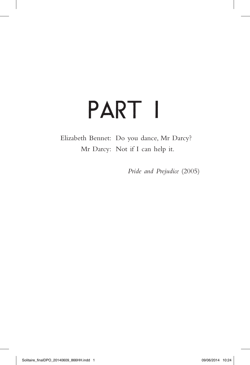# PART I

### Elizabeth Bennet: Do you dance, Mr Darcy? Mr Darcy: Not if I can help it.

*Pride and Prejudice* (2005)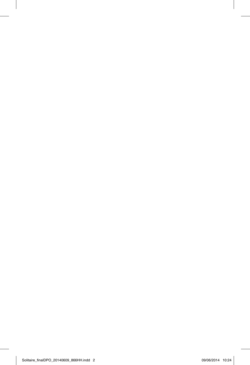$\overline{\phantom{a}}$ 

ı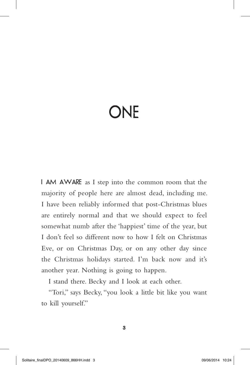## ONE

I AM AWARE as I step into the common room that the majority of people here are almost dead, including me. I have been reliably informed that post-Christmas blues are entirely normal and that we should expect to feel somewhat numb after the 'happiest' time of the year, but I don't feel so different now to how I felt on Christmas Eve, or on Christmas Day, or on any other day since the Christmas holidays started. I'm back now and it's another year. Nothing is going to happen.

I stand there. Becky and I look at each other.

"Tori," says Becky, "you look a little bit like you want to kill yourself."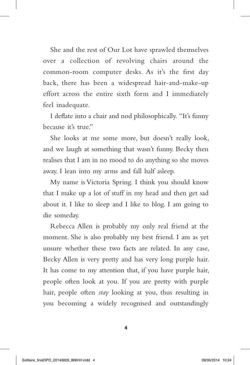She and the rest of Our Lot have sprawled themselves over a collection of revolving chairs around the common-room computer desks. As it's the first day back, there has been a widespread hair-and-make-up effort across the entire sixth form and I immediately feel inadequate.

I deflate into a chair and nod philosophically. "It's funny because it's true."

She looks at me some more, but doesn't really look, and we laugh at something that wasn't funny. Becky then realises that I am in no mood to do anything so she moves away. I lean into my arms and fall half asleep.

My name is Victoria Spring. I think you should know that I make up a lot of stuff in my head and then get sad about it. I like to sleep and I like to blog. I am going to die someday.

Rebecca Allen is probably my only real friend at the moment. She is also probably my best friend. I am as yet unsure whether these two facts are related. In any case, Becky Allen is very pretty and has very long purple hair. It has come to my attention that, if you have purple hair, people often look at you. If you are pretty with purple hair, people often *stay* looking at you, thus resulting in you becoming a widely recognised and outstandingly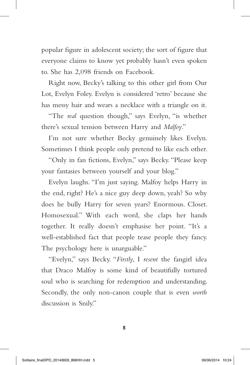popular figure in adolescent society; the sort of figure that everyone claims to know yet probably hasn't even spoken to. She has 2,098 friends on Facebook.

Right now, Becky's talking to this other girl from Our Lot, Evelyn Foley. Evelyn is considered 'retro' because she has messy hair and wears a necklace with a triangle on it.

"The *real* question though," says Evelyn, "is whether there's sexual tension between Harry and *Malfoy*."

I'm not sure whether Becky genuinely likes Evelyn. Sometimes I think people only pretend to like each other.

"Only in fan fictions, Evelyn," says Becky. "Please keep your fantasies between yourself and your blog."

Evelyn laughs. "I'm just saying. Malfoy helps Harry in the end, right? He's a nice guy deep down, yeah? So why does he bully Harry for seven years? Enormous. Closet. Homosexual." With each word, she claps her hands together. It really doesn't emphasise her point. "It's a well-established fact that people tease people they fancy. The psychology here is unarguable."

"Evelyn," says Becky. "*Firstly*, I *resent* the fangirl idea that Draco Malfoy is some kind of beautifully tortured soul who is searching for redemption and understanding. Secondly, the only non-canon couple that is even *worth* discussion is Snily."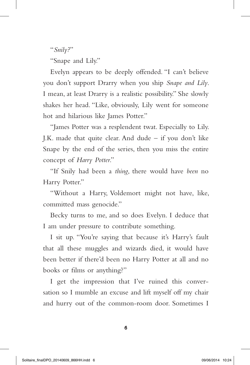"*Snily?*" "Snape and Lily."

Evelyn appears to be deeply offended. "I can't believe you don't support Drarry when you ship *Snape and Lily*. I mean, at least Drarry is a realistic possibility." She slowly shakes her head. "Like, obviously, Lily went for someone hot and hilarious like James Potter."

"James Potter was a resplendent twat. Especially to Lily. J.K. made that quite clear. And dude – if you don't like Snape by the end of the series, then you miss the entire concept of *Harry Potter*."

"If Snily had been a *thing*, there would have *been* no Harry Potter."

"Without a Harry, Voldemort might not have, like, committed mass genocide."

Becky turns to me, and so does Evelyn. I deduce that I am under pressure to contribute something.

I sit up. "You're saying that because it's Harry's fault that all these muggles and wizards died, it would have been better if there'd been no Harry Potter at all and no books or films or anything?"

I get the impression that I've ruined this conversation so I mumble an excuse and lift myself off my chair and hurry out of the common-room door. Sometimes I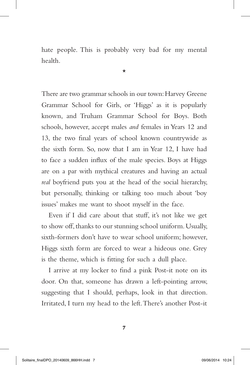hate people. This is probably very bad for my mental health.

\*

There are two grammar schools in our town: Harvey Greene Grammar School for Girls, or 'Higgs' as it is popularly known, and Truham Grammar School for Boys. Both schools, however, accept males *and* females in Years 12 and 13, the two final years of school known countrywide as the sixth form. So, now that I am in Year 12, I have had to face a sudden influx of the male species. Boys at Higgs are on a par with mythical creatures and having an actual *real* boyfriend puts you at the head of the social hierarchy, but personally, thinking or talking too much about 'boy issues' makes me want to shoot myself in the face.

Even if I did care about that stuff, it's not like we get to show off, thanks to our stunning school uniform. Usually, sixth-formers don't have to wear school uniform; however, Higgs sixth form are forced to wear a hideous one. Grey is the theme, which is fitting for such a dull place.

I arrive at my locker to find a pink Post-it note on its door. On that, someone has drawn a left-pointing arrow, suggesting that I should, perhaps, look in that direction. Irritated, I turn my head to the left. There's another Post-it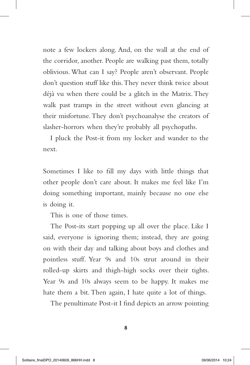note a few lockers along. And, on the wall at the end of the corridor, another. People are walking past them, totally oblivious. What can I say? People aren't observant. People don't question stuff like this. They never think twice about déjà vu when there could be a glitch in the Matrix. They walk past tramps in the street without even glancing at their misfortune. They don't psychoanalyse the creators of slasher-horrors when they're probably all psychopaths.

I pluck the Post-it from my locker and wander to the next.

Sometimes I like to fill my days with little things that other people don't care about. It makes me feel like I'm doing something important, mainly because no one else is doing it.

This is one of those times.

The Post-its start popping up all over the place. Like I said, everyone is ignoring them; instead, they are going on with their day and talking about boys and clothes and pointless stuff. Year 9s and 10s strut around in their rolled-up skirts and thigh-high socks over their tights. Year 9s and 10s always seem to be happy. It makes me hate them a bit. Then again, I hate quite a lot of things.

The penultimate Post-it I find depicts an arrow pointing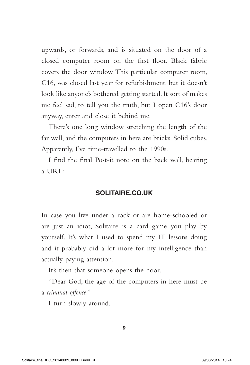upwards, or forwards, and is situated on the door of a closed computer room on the first floor. Black fabric covers the door window. This particular computer room, C16, was closed last year for refurbishment, but it doesn't look like anyone's bothered getting started. It sort of makes me feel sad, to tell you the truth, but I open C16's door anyway, enter and close it behind me.

There's one long window stretching the length of the far wall, and the computers in here are bricks. Solid cubes. Apparently, I've time-travelled to the 1990s.

I find the final Post-it note on the back wall, bearing a URL:

#### **SOLITAIRE.CO.UK**

In case you live under a rock or are home-schooled or are just an idiot, Solitaire is a card game you play by yourself. It's what I used to spend my IT lessons doing and it probably did a lot more for my intelligence than actually paying attention.

It's then that someone opens the door.

"Dear God, the age of the computers in here must be a *criminal offence*."

I turn slowly around.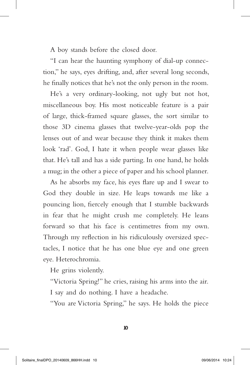A boy stands before the closed door.

"I can hear the haunting symphony of dial-up connection," he says, eyes drifting, and, after several long seconds, he finally notices that he's not the only person in the room.

He's a very ordinary-looking, not ugly but not hot, miscellaneous boy. His most noticeable feature is a pair of large, thick-framed square glasses, the sort similar to those 3D cinema glasses that twelve-year-olds pop the lenses out of and wear because they think it makes them look 'rad'. God, I hate it when people wear glasses like that. He's tall and has a side parting. In one hand, he holds a mug; in the other a piece of paper and his school planner.

As he absorbs my face, his eyes flare up and I swear to God they double in size. He leaps towards me like a pouncing lion, fiercely enough that I stumble backwards in fear that he might crush me completely. He leans forward so that his face is centimetres from my own. Through my reflection in his ridiculously oversized spectacles, I notice that he has one blue eye and one green eye. Heterochromia.

He grins violently.

"Victoria Spring!" he cries, raising his arms into the air. I say and do nothing. I have a headache.

"You are Victoria Spring," he says. He holds the piece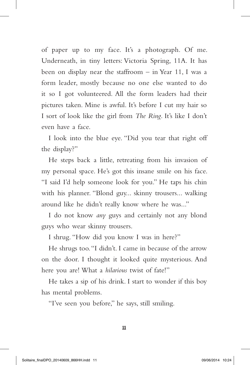of paper up to my face. It's a photograph. Of me. Underneath, in tiny letters: Victoria Spring, 11A. It has been on display near the staffroom – in Year 11, I was a form leader, mostly because no one else wanted to do it so I got volunteered. All the form leaders had their pictures taken. Mine is awful. It's before I cut my hair so I sort of look like the girl from *The Ring*. It's like I don't even have a face.

I look into the blue eye. "Did you tear that right off the display?"

He steps back a little, retreating from his invasion of my personal space. He's got this insane smile on his face. "I said I'd help someone look for you." He taps his chin with his planner. "Blond guy... skinny trousers... walking around like he didn't really know where he was..."

I do not know *any* guys and certainly not any blond guys who wear skinny trousers.

I shrug. "How did you know I was in here?"

He shrugs too. "I didn't. I came in because of the arrow on the door. I thought it looked quite mysterious. And here you are! What a *hilarious* twist of fate!"

He takes a sip of his drink. I start to wonder if this boy has mental problems.

"I've seen you before," he says, still smiling.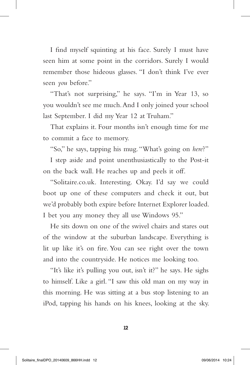I find myself squinting at his face. Surely I must have seen him at some point in the corridors. Surely I would remember those hideous glasses. "I don't think I've ever seen *you* before."

"That's not surprising," he says. "I'm in Year 13, so you wouldn't see me much. And I only joined your school last September. I did my Year 12 at Truham."

That explains it. Four months isn't enough time for me to commit a face to memory.

"So," he says, tapping his mug. "What's going on *here*?"

I step aside and point unenthusiastically to the Post-it on the back wall. He reaches up and peels it off.

"Solitaire.co.uk. Interesting. Okay. I'd say we could boot up one of these computers and check it out, but we'd probably both expire before Internet Explorer loaded. I bet you any money they all use Windows 95."

He sits down on one of the swivel chairs and stares out of the window at the suburban landscape. Everything is lit up like it's on fire. You can see right over the town and into the countryside. He notices me looking too.

"It's like it's pulling you out, isn't it?" he says. He sighs to himself. Like a girl. "I saw this old man on my way in this morning. He was sitting at a bus stop listening to an iPod, tapping his hands on his knees, looking at the sky.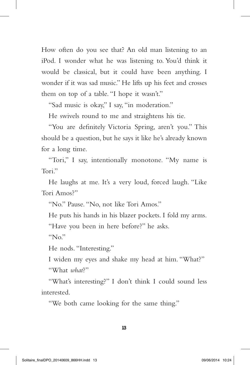How often do you see that? An old man listening to an iPod. I wonder what he was listening to. You'd think it would be classical, but it could have been anything. I wonder if it was sad music." He lifts up his feet and crosses them on top of a table. "I hope it wasn't."

"Sad music is okay," I say, "in moderation."

He swivels round to me and straightens his tie.

"You are definitely Victoria Spring, aren't you." This should be a question, but he says it like he's already known for a long time.

"Tori," I say, intentionally monotone. "My name is Tori<sup>"</sup>

He laughs at me. It's a very loud, forced laugh. "Like Tori Amos?"

"No." Pause. "No, not like Tori Amos."

He puts his hands in his blazer pockets. I fold my arms. "Have you been in here before?" he asks.

" $No.$ "

He nods. "Interesting."

I widen my eyes and shake my head at him. "What?" "What *what*?"

"What's interesting?" I don't think I could sound less interested.

"We both came looking for the same thing."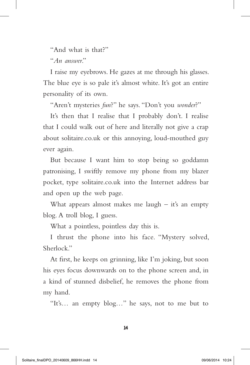"And what is that?"

"*An answer*."

I raise my eyebrows. He gazes at me through his glasses. The blue eye is so pale it's almost white. It's got an entire personality of its own.

"Aren't mysteries *fun*?" he says. "Don't you *wonder*?"

It's then that I realise that I probably don't. I realise that I could walk out of here and literally not give a crap about solitaire.co.uk or this annoying, loud-mouthed guy ever again.

But because I want him to stop being so goddamn patronising, I swiftly remove my phone from my blazer pocket, type solitaire.co.uk into the Internet address bar and open up the web page.

What appears almost makes me laugh  $-$  it's an empty blog. A troll blog, I guess.

What a pointless, pointless day this is.

I thrust the phone into his face. "Mystery solved, Sherlock."

At first, he keeps on grinning, like I'm joking, but soon his eyes focus downwards on to the phone screen and, in a kind of stunned disbelief, he removes the phone from my hand.

"It's… an empty blog…" he says, not to me but to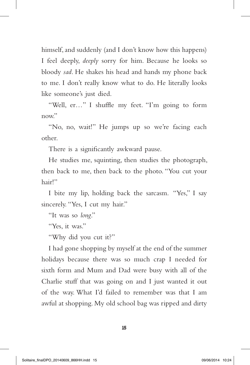himself, and suddenly (and I don't know how this happens) I feel deeply, *deeply* sorry for him. Because he looks so bloody *sad*. He shakes his head and hands my phone back to me. I don't really know what to do. He literally looks like someone's just died.

"Well, er…" I shuffle my feet. "I'm going to form now"

"No, no, wait!" He jumps up so we're facing each other.

There is a significantly awkward pause.

He studies me, squinting, then studies the photograph, then back to me, then back to the photo. "You cut your hair!"

I bite my lip, holding back the sarcasm. "Yes," I say sincerely. "Yes, I cut my hair."

"It was so *long*."

"Yes, it was."

"Why did you cut it?"

I had gone shopping by myself at the end of the summer holidays because there was so much crap I needed for sixth form and Mum and Dad were busy with all of the Charlie stuff that was going on and I just wanted it out of the way. What I'd failed to remember was that I am awful at shopping. My old school bag was ripped and dirty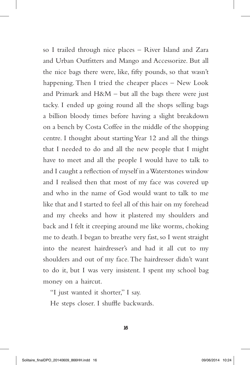so I trailed through nice places – River Island and Zara and Urban Outfitters and Mango and Accessorize. But all the nice bags there were, like, fifty pounds, so that wasn't happening. Then I tried the cheaper places – New Look and Primark and H&M – but all the bags there were just tacky. I ended up going round all the shops selling bags a billion bloody times before having a slight breakdown on a bench by Costa Coffee in the middle of the shopping centre. I thought about starting Year 12 and all the things that I needed to do and all the new people that I might have to meet and all the people I would have to talk to and I caught a reflection of myself in a Waterstones window and I realised then that most of my face was covered up and who in the name of God would want to talk to me like that and I started to feel all of this hair on my forehead and my cheeks and how it plastered my shoulders and back and I felt it creeping around me like worms, choking me to death. I began to breathe very fast, so I went straight into the nearest hairdresser's and had it all cut to my shoulders and out of my face. The hairdresser didn't want to do it, but I was very insistent. I spent my school bag money on a haircut.

"I just wanted it shorter," I say.

He steps closer. I shuffle backwards.